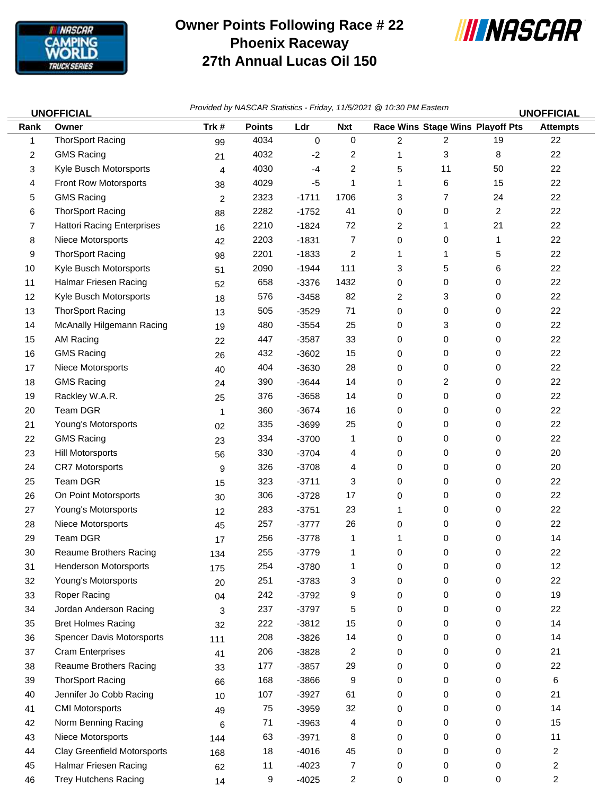

## **Owner Points Following Race # 22 Phoenix Raceway 27th Annual Lucas Oil 150**



*Provided by NASCAR Statistics - Friday, 11/5/2021 @ 10:30 PM Eastern* **UNOFFICIAL UNOFFICIAL**

| Rank | וטויו וטור<br>Owner                | Trk#           | <b>Points</b> | Ldr     | <b>Nxt</b>     |                         | Race Wins Stage Wins Playoff Pts |                | וטויו וטור<br><b>Attempts</b> |
|------|------------------------------------|----------------|---------------|---------|----------------|-------------------------|----------------------------------|----------------|-------------------------------|
| 1    | <b>ThorSport Racing</b>            | 99             | 4034          | 0       | $\mathbf 0$    | $\overline{\mathbf{c}}$ | $\overline{\mathbf{c}}$          | 19             | 22                            |
| 2    | <b>GMS Racing</b>                  | 21             | 4032          | $-2$    | 2              | 1                       | 3                                | 8              | 22                            |
| 3    | Kyle Busch Motorsports             | 4              | 4030          | $-4$    | 2              | 5                       | 11                               | 50             | 22                            |
| 4    | Front Row Motorsports              | 38             | 4029          | $-5$    |                | 1                       | 6                                | 15             | 22                            |
| 5    | <b>GMS Racing</b>                  | $\overline{c}$ | 2323          | $-1711$ | 1706           | 3                       | 7                                | 24             | 22                            |
| 6    | <b>ThorSport Racing</b>            | 88             | 2282          | $-1752$ | 41             | 0                       | 0                                | $\overline{c}$ | 22                            |
| 7    | <b>Hattori Racing Enterprises</b>  | 16             | 2210          | $-1824$ | 72             | 2                       | 1                                | 21             | 22                            |
| 8    | Niece Motorsports                  | 42             | 2203          | $-1831$ | 7              | 0                       | 0                                | 1              | 22                            |
| 9    | <b>ThorSport Racing</b>            | 98             | 2201          | $-1833$ | 2              | 1                       | 1                                | 5              | 22                            |
| 10   | Kyle Busch Motorsports             | 51             | 2090          | $-1944$ | 111            | 3                       | 5                                | 6              | 22                            |
| 11   | Halmar Friesen Racing              | 52             | 658           | $-3376$ | 1432           | 0                       | 0                                | 0              | 22                            |
| 12   | Kyle Busch Motorsports             | 18             | 576           | $-3458$ | 82             | 2                       | 3                                | 0              | 22                            |
| 13   | <b>ThorSport Racing</b>            | 13             | 505           | $-3529$ | 71             | 0                       | 0                                | 0              | 22                            |
| 14   | McAnally Hilgemann Racing          | 19             | 480           | $-3554$ | 25             | 0                       | 3                                | 0              | 22                            |
| 15   | AM Racing                          | 22             | 447           | $-3587$ | 33             | 0                       | 0                                | 0              | 22                            |
| 16   | <b>GMS Racing</b>                  | 26             | 432           | $-3602$ | 15             | 0                       | 0                                | 0              | 22                            |
| 17   | Niece Motorsports                  | 40             | 404           | $-3630$ | 28             | 0                       | 0                                | 0              | 22                            |
| 18   | <b>GMS Racing</b>                  | 24             | 390           | $-3644$ | 14             | 0                       | 2                                | 0              | 22                            |
| 19   | Rackley W.A.R.                     | 25             | 376           | $-3658$ | 14             | 0                       | 0                                | 0              | 22                            |
| 20   | Team DGR                           | 1              | 360           | $-3674$ | 16             | 0                       | 0                                | 0              | 22                            |
| 21   | Young's Motorsports                | 02             | 335           | $-3699$ | 25             | 0                       | 0                                | 0              | 22                            |
| 22   | <b>GMS Racing</b>                  | 23             | 334           | $-3700$ | 1              | 0                       | 0                                | 0              | 22                            |
| 23   | Hill Motorsports                   | 56             | 330           | $-3704$ | 4              | 0                       | 0                                | 0              | 20                            |
| 24   | <b>CR7 Motorsports</b>             | 9              | 326           | $-3708$ | 4              | 0                       | 0                                | 0              | 20                            |
| 25   | Team DGR                           | 15             | 323           | $-3711$ | 3              | 0                       | 0                                | 0              | 22                            |
| 26   | On Point Motorsports               | 30             | 306           | $-3728$ | 17             | 0                       | 0                                | 0              | 22                            |
| 27   | Young's Motorsports                | 12             | 283           | $-3751$ | 23             |                         | 0                                | 0              | 22                            |
| 28   | Niece Motorsports                  | 45             | 257           | $-3777$ | 26             | 0                       | 0                                | 0              | 22                            |
| 29   | Team DGR                           | 17             | 256           | $-3778$ | 1              | 1                       | 0                                | 0              | 14                            |
| 30   | <b>Reaume Brothers Racing</b>      | 134            | 255           | $-3779$ | 1              | 0                       | 0                                | 0              | 22                            |
| 31   | Henderson Motorsports              | 175            | 254           | $-3780$ |                | 0                       | 0                                | 0              | 12                            |
| 32   | Young's Motorsports                | 20             | 251           | $-3783$ | 3              | 0                       | 0                                | 0              | 22                            |
| 33   | Roper Racing                       | 04             | 242           | $-3792$ | 9              | 0                       | 0                                | 0              | 19                            |
| 34   | Jordan Anderson Racing             | 3              | 237           | $-3797$ | 5              | 0                       | 0                                | 0              | 22                            |
| 35   | <b>Bret Holmes Racing</b>          | 32             | 222           | $-3812$ | 15             | 0                       | 0                                | 0              | 14                            |
| 36   | Spencer Davis Motorsports          | 111            | 208           | $-3826$ | 14             | 0                       | 0                                | 0              | 14                            |
| 37   | <b>Cram Enterprises</b>            | 41             | 206           | $-3828$ | $\overline{c}$ | 0                       | 0                                | 0              | 21                            |
| 38   | <b>Reaume Brothers Racing</b>      | 33             | 177           | $-3857$ | 29             | 0                       | 0                                | 0              | 22                            |
| 39   | <b>ThorSport Racing</b>            | 66             | 168           | $-3866$ | 9              | 0                       | 0                                | 0              | 6                             |
| 40   | Jennifer Jo Cobb Racing            | 10             | 107           | $-3927$ | 61             | 0                       | 0                                | 0              | 21                            |
| 41   | <b>CMI Motorsports</b>             | 49             | 75            | $-3959$ | 32             | 0                       | 0                                | 0              | 14                            |
| 42   | Norm Benning Racing                | 6              | 71            | $-3963$ | 4              | 0                       | 0                                | 0              | 15                            |
| 43   | Niece Motorsports                  | 144            | 63            | $-3971$ | 8              | 0                       | 0                                | 0              | 11                            |
| 44   | <b>Clay Greenfield Motorsports</b> | 168            | 18            | $-4016$ | 45             | 0                       | 0                                | 0              | 2                             |
| 45   | Halmar Friesen Racing              | 62             | 11            | $-4023$ | 7              | 0                       | 0                                | 0              | $\overline{c}$                |
| 46   | <b>Trey Hutchens Racing</b>        | 14             | 9             | $-4025$ | $\overline{a}$ | 0                       | 0                                | 0              | 2                             |